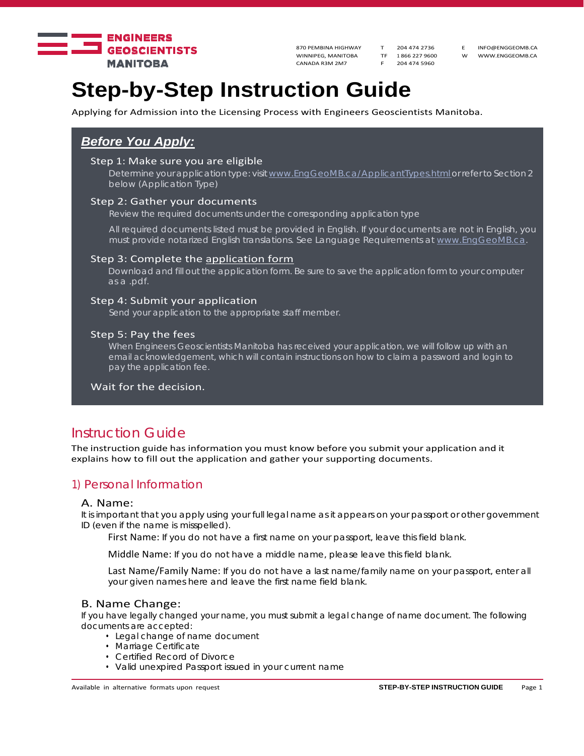

WINNIPEG, MANITOBA TF 1 866 227 9600 W WWW.ENGGEOMB.CA<br>CANADA R3M 2M7 F 204 474 5960 CANADA R3M 2M7

870 PEMBINA HIGHWAY T 204 474 2736 E INFO@ENGGEOMB.CA

# **Step-by-Step Instruction Guide**

Applying for Admission into the Licensing Process with Engineers Geoscientists Manitoba.

# *Before You Apply:*

### Step 1: Make sure you are eligible

Determine your application type: visit www.EngGeoMB.ca/ApplicantTypes.html or refer to Section 2 below (Application Type)

### Step 2: Gather your documents

Review the required documents under the corresponding application type

All required documents listed must be provided in English. If your documents are not in English, you must provide notarized English translations. See Language Requirements at www.EngGeoMB.ca.

#### Step 3: Complete the application form

Download and fill out the application form. Be sure to save the application form to your computer as a .pdf.

#### Step 4: Submit your application

Send your application to the appropriate staff member.

#### Step 5: Pay the fees

When Engineers Geoscientists Manitoba has received your application, we will follow up with an email acknowledgement, which will contain instructions on how to claim a password and login to pay the application fee.

Wait for the decision.

# Instruction Guide

The instruction guide has information you must know before you submit your application and it explains how to fill out the application and gather your supporting documents.

## 1) Personal Information

#### A. Name:

It is important that you apply using your full legal name as it appears on your passport or other government ID (even if the name is misspelled).

First Name: If you do not have a first name on your passport, leave this field blank.

Middle Name: If you do not have a middle name, please leave this field blank.

Last Name/Family Name: If you do not have a last name/family name on your passport, enter all your given names here and leave the first name field blank.

### B. Name Change:

If you have legally changed your name, you must submit a legal change of name document. The following documents are accepted:

- Legal change of name document
- Marriage Certificate
- Certified Record of Divorce
- Valid unexpired Passport issued in your current name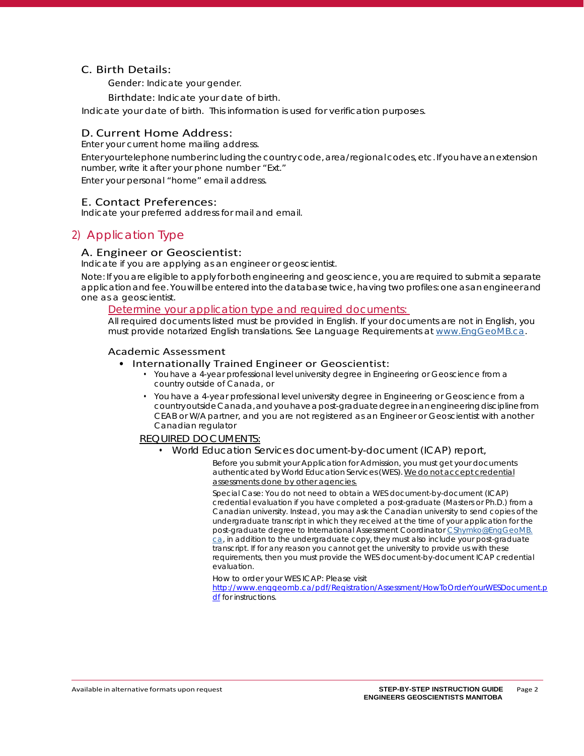### C. Birth Details:

Gender: Indicate your gender.

Birthdate: Indicate your date of birth.

Indicate your date of birth. This information is used for verification purposes.

### D. Current Home Address:

Enter your current home mailing address.

Enter your telephone number including the country code, area/regional codes, etc. If you have an extension number, write it after your phone number "Ext."

Enter your personal "home" email address.

### E. Contact Preferences:

Indicate your preferred address for mail and email.

# 2) Application Type

### A. Engineer or Geoscientist:

Indicate if you are applying as an engineer or geoscientist.

Note: If you are eligible to apply for both engineering and geoscience, you are required to submit a separate application and fee. You will be entered into the database twice, having two profiles: one as an engineer and one as a geoscientist.

### *Determine your application type and required documents:*

*All required documents listed must be provided in English. If your documents are not in English, you must provide notarized English translations. See Language Requirements at www.EngGeoMB.ca.*

### Academic Assessment

### • Internationally Trained Engineer or Geoscientist:

- You have a 4-year professional level university degree in Engineering or Geoscience from a country outside of Canada, or
- You have a 4-year professional level university degree in Engineering or Geoscience from a country outside Canada, and you have a post-graduate degree in an engineering discipline from CEAB or W/A partner, and you are not registered as an Engineer or Geoscientist with another Canadian regulator

### *REQUIRED DOCUMENTS:*

• World Education Services document-by-document (ICAP) report,

*Before you submit your Application for Admission, you must get your documents authenticated by World Education Services (WES). We do not accept credential assessments done by other agencies.*

*Special Case: You do not need to obtain a WES document-by-document (ICAP) credential evaluation if you have completed a post-graduate (Masters or Ph.D.) from a Canadian university. Instead, you may ask the Canadian university to send copies of the undergraduate transcript in which they received at the time of your application for the post-graduate degree to International Assessment Coordinator CShymko@EngGeoMB. ca, in addition to the undergraduate copy, they must also include your post-graduate transcript. If for any reason you cannot get the university to provide us with these requirements, then you must provide the WES document-by-document ICAP credential evaluation.* 

*How to order your WES ICAP: Please visit* 

http://www.enggeomb.ca/pdf/Registration/Assessment/HowToOrderYourWESDocument.p df for instructions.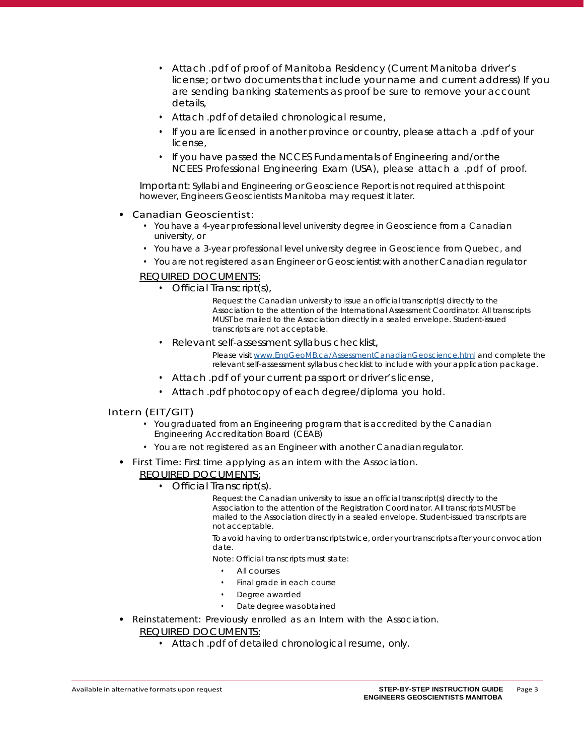- Attach .pdf of proof of Manitoba Residency (Current Manitoba driver's license; or two documents that include your name and current address) If you are sending banking statements as proof be sure to remove your account details,
- Attach .pdf of detailed chronological resume,
- If you are licensed in another province or country, please attach a .pdf of your license,
- If you have passed the NCCES Fundamentals of Engineering and/or the NCEES Professional Engineering Exam (USA), please attach a .pdf of proof.

Important: Syllabi and Engineering or Geoscience Report is not required at this point however, Engineers Geoscientists Manitoba may request it later.

### • Canadian Geoscientist:

- You have a 4-year professional level university degree in Geoscience from a Canadian university, or
- You have a 3-year professional level university degree in Geoscience from Quebec, and
- You are not registered as an Engineer or Geoscientist with another Canadian regulator

### *REQUIRED DOCUMENTS:*

• Official Transcript(s),

*Request the Canadian university to issue an official transcript(s) directly to the Association to the attention of the International Assessment Coordinator. All transcripts MUST be mailed to the Association directly in a sealed envelope. Student-issued transcripts are not acceptable.* 

• Relevant self-assessment syllabus checklist,

*Please visit www.EngGeoMB.ca/AssessmentCanadianGeoscience.html and complete the relevant self-assessment syllabus checklist to include with your application package.*

- Attach .pdf of your current passport or driver's license,
- Attach .pdf photocopy of each degree/diploma you hold.

### Intern (EIT/GIT)

- You graduated from an Engineering program that is accredited by the Canadian Engineering Accreditation Board (CEAB)
- You are not registered as an Engineer with another Canadian regulator.
- First Time: First time applying as an intern with the Association.

## *REQUIRED DOCUMENTS:*

• Official Transcript(s).

*Request the Canadian university to issue an official transcript(s) directly to the Association to the attention of the Registration Coordinator. All transcripts MUST be mailed to the Association directly in a sealed envelope. Student-issued transcripts are not acceptable.* 

*To avoid having to order transcripts twice, order your transcripts after your convocation date.*

*Note: Official transcripts must state:*

- *• All courses*
- *• Final grade in each course*
- *• Degree awarded*
- *• Date degree was obtained*
- Reinstatement: Previously enrolled as an Intern with the Association. *REQUIRED DOCUMENTS:*
	- Attach .pdf of detailed chronological resume, only.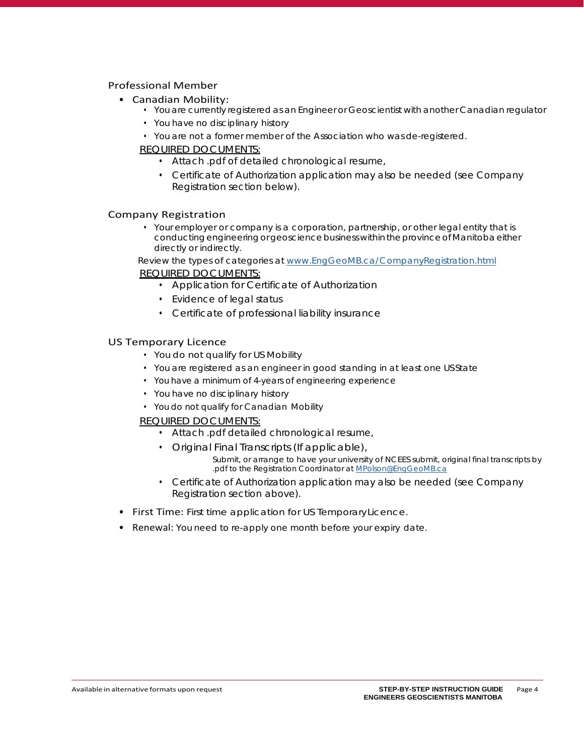### Professional Member

- Canadian Mobility:
	- You are currently registered as an Engineer or Geoscientist with another Canadian regulator
	- You have no disciplinary history
	- You are not a former member of the Association who was de-registered.

### *REQUIRED DOCUMENTS:*

- Attach .pdf of detailed chronological resume,
- Certificate of Authorization application may also be needed (see Company Registration section below).

### Company Registration

• Your employer or company is a corporation, partnership, or other legal entity that is conducting engineering or geoscience business within the province of Manitoba either directly or indirectly.

Review the types of categories at www.EngGeoMB.ca/CompanyRegistration.html

### *REQUIRED DOCUMENTS:*

- Application for Certificate of Authorization
- Evidence of legal status
- Certificate of professional liability insurance

### US Temporary Licence

- You do not qualify for US Mobility
- You are registered as an engineer in good standing in at least one US State
- You have a minimum of 4-years of engineering experience
- You have no disciplinary history
- You do not qualify for Canadian Mobility

### *REQUIRED DOCUMENTS:*

- Attach .pdf detailed chronological resume,
- Original Final Transcripts (If applicable),

*Submit, or arrange to have your university of NCEES submit, original final transcripts by .pdf to the Registration Coordinator at MPolson@EngGeoMB.ca*

- Certificate of Authorization application may also be needed (see Company Registration section above).
- First Time: First time application for US Temporary Licence.
- Renewal: You need to re-apply one month before your expiry date.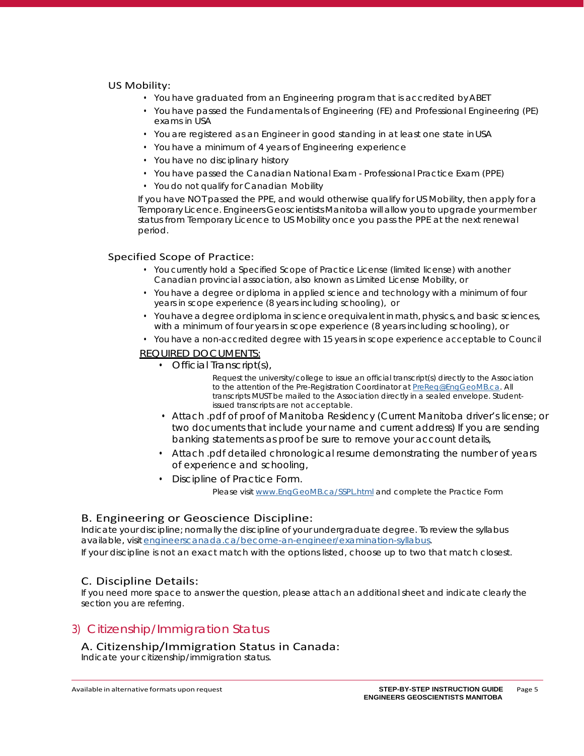### US Mobility:

- You have graduated from an Engineering program that is accredited by ABET
- You have passed the Fundamentals of Engineering (FE) and Professional Engineering (PE) exams in USA
- You are registered as an Engineer in good standing in at least one state in USA
- You have a minimum of 4 years of Engineering experience
- You have no disciplinary history
- You have passed the Canadian National Exam Professional Practice Exam (PPE)
- You do not qualify for Canadian Mobility

If you have NOT passed the PPE, and would otherwise qualify for US Mobility, then apply for a Temporary Licence. Engineers Geoscientists Manitoba will allow you to upgrade your member status from Temporary Licence to US Mobility once you pass the PPE at the next renewal period.

### Specified Scope of Practice:

- You currently hold a Specified Scope of Practice License (limited license) with another Canadian provincial association, also known as Limited License Mobility, or
- You have a degree or diploma in applied science and technology with a minimum of four years in scope experience (8 years including schooling), or
- You have a degree or diploma in science or equivalent in math, physics, and basic sciences, with a minimum of four years in scope experience (8 years including schooling), or
- You have a non-accredited degree with 15 years in scope experience acceptable to Council

### *REQUIRED DOCUMENTS:*

• Official Transcript(s),

*Request the university/college to issue an official transcript(s) directly to the Association to the attention of the Pre-Registration Coordinator at PreReg@EngGeoMB.ca. All transcripts MUST be mailed to the Association directly in a sealed envelope. Studentissued transcripts are not acceptable.* 

- Attach .pdf of proof of Manitoba Residency (Current Manitoba driver's license; or two documents that include your name and current address) If you are sending banking statements as proof be sure to remove your account details,
- Attach .pdf detailed chronological resume demonstrating the number of years of experience and schooling,
- Discipline of Practice Form.

*Please visit www.EngGeoMB.ca/SSPL.html and complete the Practice Form*

### B. Engineering or Geoscience Discipline:

Indicate your discipline; normally the discipline of your undergraduate degree. To review the syllabus available, visit engineerscanada.ca/become-an-engineer/examination-syllabus. If your discipline is not an exact match with the options listed, choose up to two that match closest.

## C. Discipline Details:

If you need more space to answer the question, please attach an additional sheet and indicate clearly the section you are referring.

# 3) Citizenship/Immigration Status

### A. Citizenship/Immigration Status in Canada:

Indicate your citizenship/immigration status.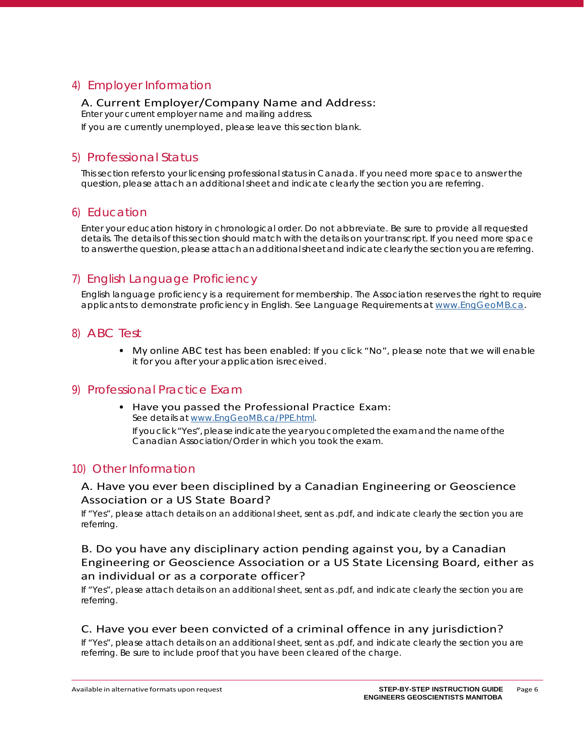# 4) Employer Information

# A. Current Employer/Company Name and Address:

Enter your current employer name and mailing address.

If you are currently unemployed, please leave this section blank.

# 5) Professional Status

This section refers to your licensing professional status in Canada. If you need more space to answer the question, please attach an additional sheet and indicate clearly the section you are referring.

# 6) Education

Enter your education history in chronological order. Do not abbreviate. Be sure to provide all requested details. The details of this section should match with the details on your transcript. If you need more space to answer the question, please attach an additional sheet and indicate clearly the section you are referring.

# 7) English Language Proficiency

English language proficiency is a requirement for membership. The Association reserves the right to require applicants to demonstrate proficiency in English. See Language Requirements at www.EngGeoMB.ca.

# 8) ABC Test

• My online ABC test has been enabled: If you click "No", please note that we will enable it for you after your application is received.

# 9) Professional Practice Exam

• Have you passed the Professional Practice Exam: See details at www.EngGeoMB.ca/PPE.html. If you click "Yes", please indicate the year you completed the exam and the name of the Canadian Association/Order in which you took the exam.

# 10) Other Information

# A. Have you ever been disciplined by a Canadian Engineering or Geoscience Association or a US State Board?

If "Yes", please attach details on an additional sheet, sent as .pdf, and indicate clearly the section you are referring.

# B. Do you have any disciplinary action pending against you, by a Canadian Engineering or Geoscience Association or a US State Licensing Board, either as an individual or as a corporate officer?

If "Yes", please attach details on an additional sheet, sent as .pdf, and indicate clearly the section you are referring.

## C. Have you ever been convicted of a criminal offence in any jurisdiction?

If "Yes", please attach details on an additional sheet, sent as .pdf, and indicate clearly the section you are referring. Be sure to include proof that you have been cleared of the charge.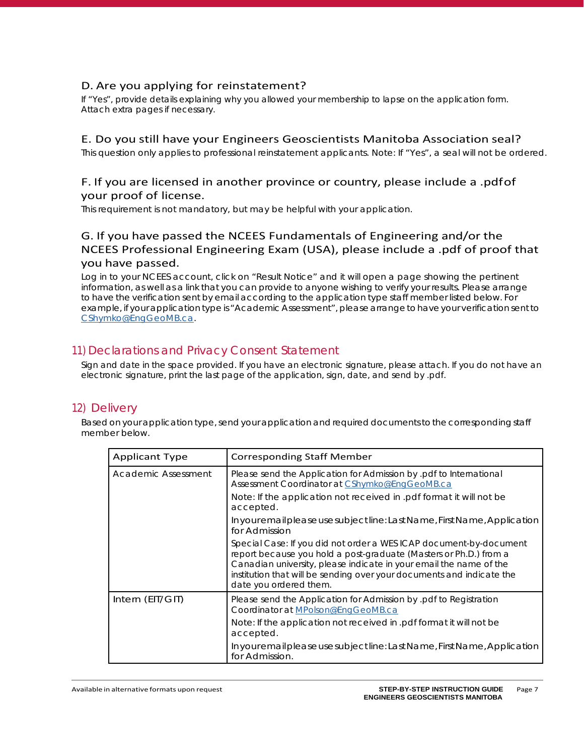# D. Are you applying for reinstatement?

If "Yes", provide details explaining why you allowed your membership to lapse on the application form. Attach extra pages if necessary.

# E. Do you still have your Engineers Geoscientists Manitoba Association seal?

This question only applies to professional reinstatement applicants. Note: If "Yes", a seal will not be ordered.

# F. If you are licensed in another province or country, please include a .pdfof your proof of license.

This requirement is not mandatory, but may be helpful with your application.

# G. If you have passed the NCEES Fundamentals of Engineering and/or the NCEES Professional Engineering Exam (USA), please include a .pdf of proof that you have passed.

Log in to your NCEES account, click on "Result Notice" and it will open a page showing the pertinent information, as well as a link that you can provide to anyone wishing to verify your results. Please arrange to have the verification sent by email according to the application type staff member listed below. For example, if your application type is "Academic Assessment", please arrange to have your verification sent to CShymko@EngGeoMB.ca.

# 11) Declarations and Privacy Consent Statement

Sign and date in the space provided. If you have an electronic signature, please attach. If you do not have an electronic signature, print the last page of the application, sign, date, and send by .pdf.

# 12) Delivery

Based on your application type, send your application and required documents to the corresponding staff member below.

| <b>Applicant Type</b> | <b>Corresponding Staff Member</b>                                                                                                                                                                                                                                                                                |
|-----------------------|------------------------------------------------------------------------------------------------------------------------------------------------------------------------------------------------------------------------------------------------------------------------------------------------------------------|
| Academic Assessment   | Please send the Application for Admission by pdf to International<br>Assessment Coordinator at CShymko@EngGeoMB.ca                                                                                                                                                                                               |
|                       | Note: If the application not received in .pdf format it will not be<br>accepted.                                                                                                                                                                                                                                 |
|                       | In your email please use subject line: Last Name, First Name, Application<br>for Admission                                                                                                                                                                                                                       |
|                       | Special Case: If you did not order a WES ICAP document-by-document<br>report because you hold a post-graduate (Masters or Ph.D.) from a<br>Canadian university, please indicate in your email the name of the<br>institution that will be sending over your documents and indicate the<br>date you ordered them. |
| Intern (EIT/GIT)      | Please send the Application for Admission by .pdf to Registration<br>Coordinator at MPolson@EngGeoMB.ca                                                                                                                                                                                                          |
|                       | Note: If the application not received in .pdf format it will not be<br>accepted.                                                                                                                                                                                                                                 |
|                       | In your email please use subject line: Last Name, First Name, Application<br>for Admission.                                                                                                                                                                                                                      |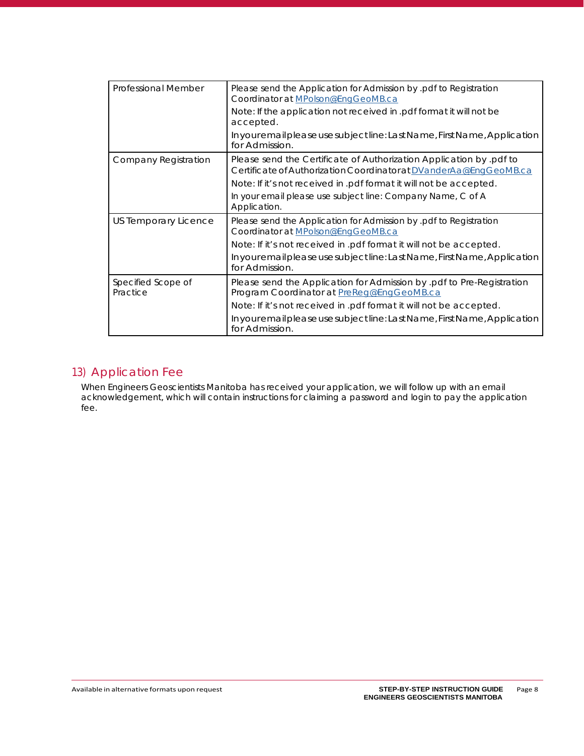| <b>Professional Member</b>     | Please send the Application for Admission by pdf to Registration<br>Coordinator at MPolson@EngGeoMB.ca                                 |
|--------------------------------|----------------------------------------------------------------------------------------------------------------------------------------|
|                                | Note: If the application not received in .pdf format it will not be<br>accepted.                                                       |
|                                | In your email please use subject line: Last Name, First Name, Application<br>for Admission.                                            |
| Company Registration           | Please send the Certificate of Authorization Application by pdf to<br>Certificate of Authorization Coordinatorat DVanderAa@EngGeoMB.ca |
|                                | Note: If it's not received in .pdf format it will not be accepted.                                                                     |
|                                | In your email please use subject line: Company Name, C of A<br>Application.                                                            |
| US Temporary Licence           | Please send the Application for Admission by pdf to Registration<br>Coordinator at MPolson@EngGeoMB.ca                                 |
|                                | Note: If it's not received in .pdf format it will not be accepted.                                                                     |
|                                | In your email please use subject line: Last Name, First Name, Application<br>for Admission.                                            |
| Specified Scope of<br>Practice | Please send the Application for Admission by .pdf to Pre-Registration<br>Program Coordinator at PreReg@EngGeoMB.ca                     |
|                                | Note: If it's not received in .pdf format it will not be accepted.                                                                     |
|                                | In your email please use subject line: Last Name, First Name, Application<br>for Admission.                                            |

# 13) Application Fee

When Engineers Geoscientists Manitoba has received your application, we will follow up with an email acknowledgement, which will contain instructions for claiming a password and login to pay the application fee.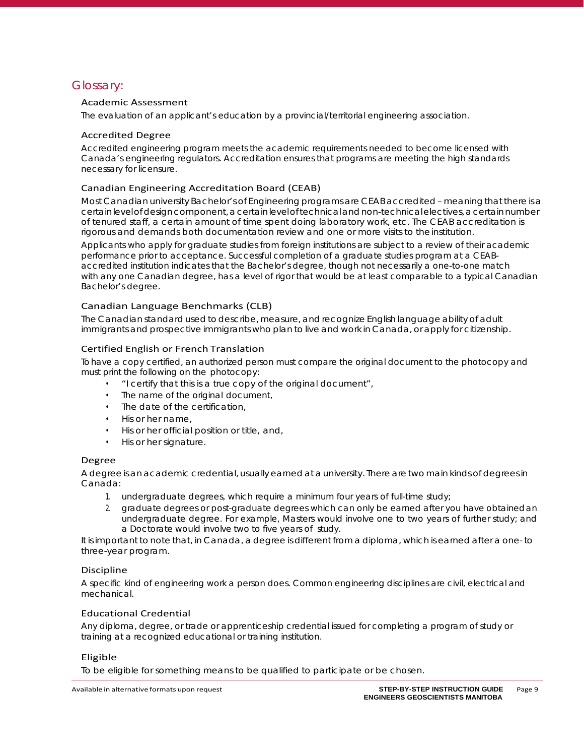# Glossary:

### Academic Assessment

The evaluation of an applicant's education by a provincial/territorial engineering association.

#### Accredited Degree

Accredited engineering program meets the academic requirements needed to become licensed with Canada's engineering regulators. Accreditation ensures that programs are meeting the high standards necessary for licensure.

### Canadian Engineering Accreditation Board (CEAB)

Most Canadian university Bachelor's of Engineering programs are CEAB accredited – meaning that there is a certain level of design component, a certain level of technical and non-technical electives, a certain number of tenured staff, a certain amount of time spent doing laboratory work, etc. The CEAB accreditation is rigorous and demands both documentation review and one or more visits to the institution.

Applicants who apply for graduate studies from foreign institutions are subject to a review of their academic performance prior to acceptance. Successful completion of a graduate studies program at a CEABaccredited institution indicates that the Bachelor's degree, though not necessarily a one-to-one match with any one Canadian degree, has a level of rigor that would be at least comparable to a typical Canadian Bachelor's degree.

### Canadian Language Benchmarks (CLB)

The Canadian standard used to describe, measure, and recognize English language ability of adult immigrants and prospective immigrants who plan to live and work in Canada, or apply for citizenship.

### Certified English or French Translation

To have a copy certified, an authorized person must compare the original document to the photocopy and must print the following on the photocopy:

- "I certify that this is a true copy of the original document",
- The name of the original document,
- The date of the certification,
- His or her name,
- His or her official position or title, and,
- His or her signature.

### Degree

A degree is an academic credential, usually earned at a university. There are two main kinds of degrees in Canada:

- 1. undergraduate degrees, which require a minimum four years of full-time study;
- 2. graduate degrees or post-graduate degrees which can only be earned after you have obtained an undergraduate degree. For example, Masters would involve one to two years of further study; and a Doctorate would involve two to five years of study.

It is important to note that, in Canada, a degree is different from a diploma, which is earned after a one- to three-year program.

### Discipline

A specific kind of engineering work a person does. Common engineering disciplines are civil, electrical and mechanical.

### Educational Credential

Any diploma, degree, or trade or apprenticeship credential issued for completing a program of study or training at a recognized educational or training institution.

### Eligible

To be eligible for something means to be qualified to participate or be chosen.